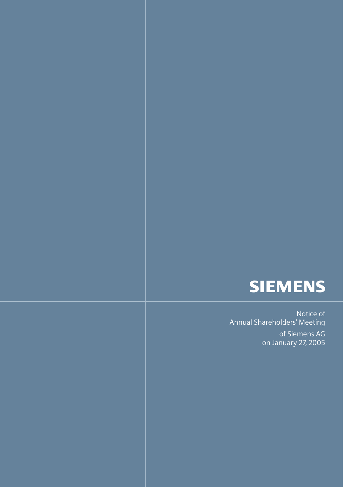

Notice of Annual Shareholders' Meeting

> of Siemens AG on January 27, 2005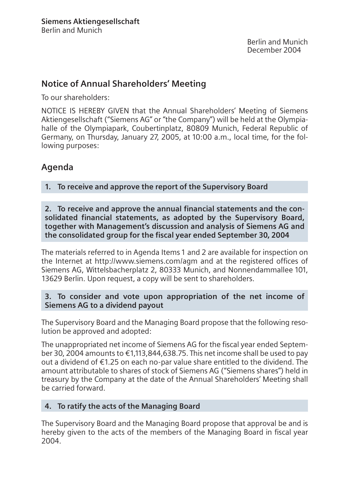Berlin and Munich December 2004

# **Notice of Annual Shareholders' Meeting**

To our shareholders:

NOTICE IS HEREBY GIVEN that the Annual Shareholders' Meeting of Siemens Aktiengesellschaft ("Siemens AG" or "the Company") will be held at the Olympiahalle of the Olympiapark, Coubertinplatz, 80809 Munich, Federal Republic of Germany, on Thursday, January 27, 2005, at 10:00 a.m., local time, for the following purposes:

# **Agenda**

**1. To receive and approve the report of the Supervisory Board**

**2. To receive and approve the annual financial statements and the consolidated financial statements, as adopted by the Supervisory Board, together with Management's discussion and analysis of Siemens AG and the consolidated group for the fiscal year ended September 30, 2004**

The materials referred to in Agenda Items 1 and 2 are available for inspection on the Internet at http://www.siemens.com/agm and at the registered offices of Siemens AG, Wittelsbacherplatz 2, 80333 Munich, and Nonnendammallee 101, 13629 Berlin. Upon request, a copy will be sent to shareholders.

#### **3. To consider and vote upon appropriation of the net income of Siemens AG to a dividend payout**

The Supervisory Board and the Managing Board propose that the following resolution be approved and adopted:

The unappropriated net income of Siemens AG for the fiscal year ended September 30, 2004 amounts to €1,113,844,638.75. This net income shall be used to pay out a dividend of €1.25 on each no-par value share entitled to the dividend. The amount attributable to shares of stock of Siemens AG ("Siemens shares") held in treasury by the Company at the date of the Annual Shareholders' Meeting shall be carried forward.

## **4. To ratify the acts of the Managing Board**

The Supervisory Board and the Managing Board propose that approval be and is hereby given to the acts of the members of the Managing Board in fiscal year 2004.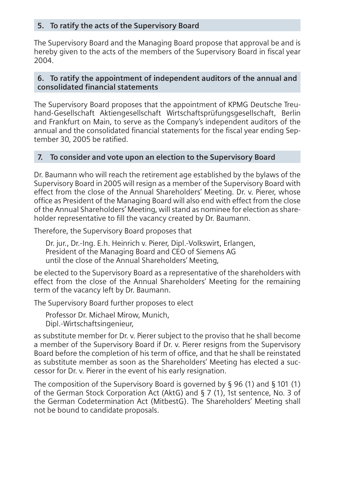#### **5. To ratify the acts of the Supervisory Board**

The Supervisory Board and the Managing Board propose that approval be and is hereby given to the acts of the members of the Supervisory Board in fiscal year 2004.

#### **6. To ratify the appointment of independent auditors of the annual and consolidated financial statements**

The Supervisory Board proposes that the appointment of KPMG Deutsche Treuhand-Gesellschaft Aktiengesellschaft Wirtschaftsprüfungsgesellschaft, Berlin and Frankfurt on Main, to serve as the Company's independent auditors of the annual and the consolidated financial statements for the fiscal year ending September 30, 2005 be ratified.

#### **7. To consider and vote upon an election to the Supervisory Board**

Dr. Baumann who will reach the retirement age established by the bylaws of the Supervisory Board in 2005 will resign as a member of the Supervisory Board with effect from the close of the Annual Shareholders' Meeting. Dr. v. Pierer, whose office as President of the Managing Board will also end with effect from the close of the Annual Shareholders' Meeting, will stand as nominee for election as shareholder representative to fill the vacancy created by Dr. Baumann.

Therefore, the Supervisory Board proposes that

Dr. jur., Dr.-Ing. E.h. Heinrich v. Pierer, Dipl.-Volkswirt, Erlangen, President of the Managing Board and CEO of Siemens AG until the close of the Annual Shareholders' Meeting,

be elected to the Supervisory Board as a representative of the shareholders with effect from the close of the Annual Shareholders' Meeting for the remaining term of the vacancy left by Dr. Baumann.

The Supervisory Board further proposes to elect

Professor Dr. Michael Mirow, Munich, Dipl.-Wirtschaftsingenieur,

as substitute member for Dr. v. Pierer subject to the proviso that he shall become a member of the Supervisory Board if Dr. v. Pierer resigns from the Supervisory Board before the completion of his term of office, and that he shall be reinstated as substitute member as soon as the Shareholders' Meeting has elected a successor for Dr. v. Pierer in the event of his early resignation.

The composition of the Supervisory Board is governed by § 96 (1) and § 101 (1) of the German Stock Corporation Act (AktG) and § 7 (1), 1st sentence, No. 3 of the German Codetermination Act (MitbestG). The Shareholders' Meeting shall not be bound to candidate proposals.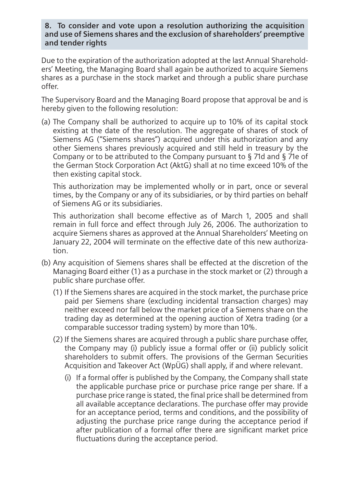**8. To consider and vote upon a resolution authorizing the acquisition and use of Siemens shares and the exclusion of shareholders' preemptive and tender rights**

Due to the expiration of the authorization adopted at the last Annual Shareholders' Meeting, the Managing Board shall again be authorized to acquire Siemens shares as a purchase in the stock market and through a public share purchase offer.

The Supervisory Board and the Managing Board propose that approval be and is hereby given to the following resolution:

(a) The Company shall be authorized to acquire up to 10% of its capital stock existing at the date of the resolution. The aggregate of shares of stock of Siemens AG ("Siemens shares") acquired under this authorization and any other Siemens shares previously acquired and still held in treasury by the Company or to be attributed to the Company pursuant to § 71d and § 71e of the German Stock Corporation Act (AktG) shall at no time exceed 10% of the then existing capital stock.

This authorization may be implemented wholly or in part, once or several times, by the Company or any of its subsidiaries, or by third parties on behalf of Siemens AG or its subsidiaries.

This authorization shall become effective as of March 1, 2005 and shall remain in full force and effect through July 26, 2006. The authorization to acquire Siemens shares as approved at the Annual Shareholders' Meeting on January 22, 2004 will terminate on the effective date of this new authorization.

- (b) Any acquisition of Siemens shares shall be effected at the discretion of the Managing Board either (1) as a purchase in the stock market or (2) through a public share purchase offer.
	- (1) If the Siemens shares are acquired in the stock market, the purchase price paid per Siemens share (excluding incidental transaction charges) may neither exceed nor fall below the market price of a Siemens share on the trading day as determined at the opening auction of Xetra trading (or a comparable successor trading system) by more than 10%.
	- (2) If the Siemens shares are acquired through a public share purchase offer, the Company may (i) publicly issue a formal offer or (ii) publicly solicit shareholders to submit offers. The provisions of the German Securities Acquisition and Takeover Act (WpÜG) shall apply, if and where relevant.
		- (i) If a formal offer is published by the Company, the Company shall state the applicable purchase price or purchase price range per share. If a purchase price range is stated, the final price shall be determined from all available acceptance declarations. The purchase offer may provide for an acceptance period, terms and conditions, and the possibility of adjusting the purchase price range during the acceptance period if after publication of a formal offer there are significant market price fluctuations during the acceptance period.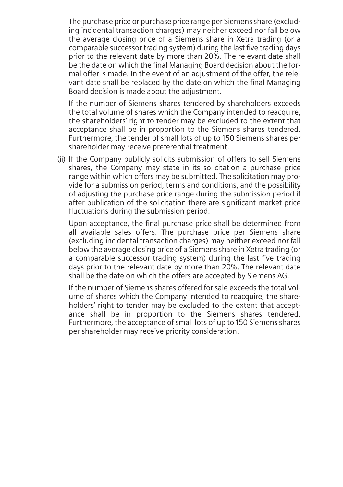The purchase price or purchase price range per Siemens share (excluding incidental transaction charges) may neither exceed nor fall below the average closing price of a Siemens share in Xetra trading (or a comparable successor trading system) during the last five trading days prior to the relevant date by more than 20%. The relevant date shall be the date on which the final Managing Board decision about the formal offer is made. In the event of an adjustment of the offer, the relevant date shall be replaced by the date on which the final Managing Board decision is made about the adjustment.

If the number of Siemens shares tendered by shareholders exceeds the total volume of shares which the Company intended to reacquire, the shareholders' right to tender may be excluded to the extent that acceptance shall be in proportion to the Siemens shares tendered. Furthermore, the tender of small lots of up to 150 Siemens shares per shareholder may receive preferential treatment.

(ii) If the Company publicly solicits submission of offers to sell Siemens shares, the Company may state in its solicitation a purchase price range within which offers may be submitted. The solicitation may provide for a submission period, terms and conditions, and the possibility of adjusting the purchase price range during the submission period if after publication of the solicitation there are significant market price fluctuations during the submission period.

Upon acceptance, the final purchase price shall be determined from all available sales offers. The purchase price per Siemens share (excluding incidental transaction charges) may neither exceed nor fall below the average closing price of a Siemens share in Xetra trading (or a comparable successor trading system) during the last five trading days prior to the relevant date by more than 20%. The relevant date shall be the date on which the offers are accepted by Siemens AG.

If the number of Siemens shares offered for sale exceeds the total volume of shares which the Company intended to reacquire, the shareholders' right to tender may be excluded to the extent that acceptance shall be in proportion to the Siemens shares tendered. Furthermore, the acceptance of small lots of up to 150 Siemens shares per shareholder may receive priority consideration.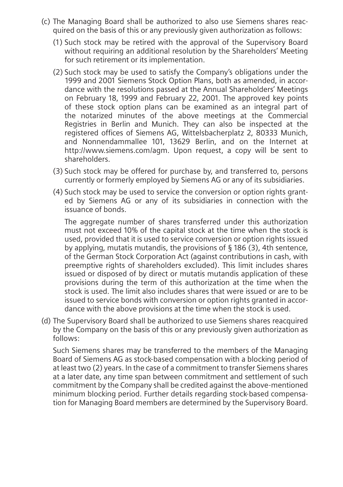- (c) The Managing Board shall be authorized to also use Siemens shares reacquired on the basis of this or any previously given authorization as follows:
	- (1) Such stock may be retired with the approval of the Supervisory Board without requiring an additional resolution by the Shareholders' Meeting for such retirement or its implementation.
	- (2) Such stock may be used to satisfy the Company's obligations under the 1999 and 2001 Siemens Stock Option Plans, both as amended, in accordance with the resolutions passed at the Annual Shareholders' Meetings on February 18, 1999 and February 22, 2001. The approved key points of these stock option plans can be examined as an integral part of the notarized minutes of the above meetings at the Commercial Registries in Berlin and Munich. They can also be inspected at the registered offices of Siemens AG, Wittelsbacherplatz 2, 80333 Munich, and Nonnendammallee 101, 13629 Berlin, and on the Internet at http://www.siemens.com/agm. Upon request, a copy will be sent to shareholders.
	- (3) Such stock may be offered for purchase by, and transferred to, persons currently or formerly employed by Siemens AG or any of its subsidiaries.
	- (4) Such stock may be used to service the conversion or option rights granted by Siemens AG or any of its subsidiaries in connection with the issuance of bonds.

The aggregate number of shares transferred under this authorization must not exceed 10% of the capital stock at the time when the stock is used, provided that it is used to service conversion or option rights issued by applying, mutatis mutandis, the provisions of § 186 (3), 4th sentence, of the German Stock Corporation Act (against contributions in cash, with preemptive rights of shareholders excluded). This limit includes shares issued or disposed of by direct or mutatis mutandis application of these provisions during the term of this authorization at the time when the stock is used. The limit also includes shares that were issued or are to be issued to service bonds with conversion or option rights granted in accordance with the above provisions at the time when the stock is used.

(d) The Supervisory Board shall be authorized to use Siemens shares reacquired by the Company on the basis of this or any previously given authorization as follows:

Such Siemens shares may be transferred to the members of the Managing Board of Siemens AG as stock-based compensation with a blocking period of at least two (2) years. In the case of a commitment to transfer Siemens shares at a later date, any time span between commitment and settlement of such commitment by the Company shall be credited against the above-mentioned minimum blocking period. Further details regarding stock-based compensation for Managing Board members are determined by the Supervisory Board.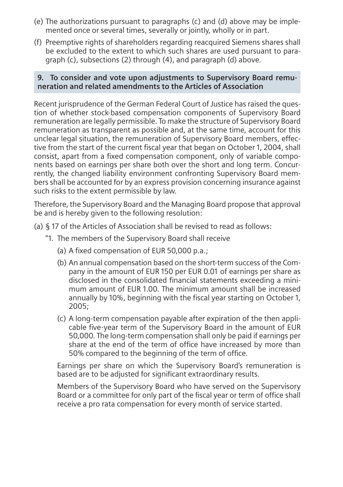- (e) The authorizations pursuant to paragraphs (c) and (d) above may be implemented once or several times, severally or jointly, wholly or in part.
- (f) Preemptive rights of shareholders regarding reacquired Siemens shares shall be excluded to the extent to which such shares are used pursuant to paragraph (c), subsections (2) through (4), and paragraph (d) above.

#### **9. To consider and vote upon adjustments to Supervisory Board remuneration and related amendments to the Articles of Association**

Recent jurisprudence of the German Federal Court of Justice has raised the question of whether stock-based compensation components of Supervisory Board remuneration are legally permissible. To make the structure of Supervisory Board remuneration as transparent as possible and, at the same time, account for this unclear legal situation, the remuneration of Supervisory Board members, effective from the start of the current fiscal year that began on October 1, 2004, shall consist, apart from a fixed compensation component, only of variable components based on earnings per share both over the short and long term. Concurrently, the changed liability environment confronting Supervisory Board members shall be accounted for by an express provision concerning insurance against such risks to the extent permissible by law.

Therefore, the Supervisory Board and the Managing Board propose that approval be and is hereby given to the following resolution:

- (a) § 17 of the Articles of Association shall be revised to read as follows:
	- "1. The members of the Supervisory Board shall receive
		- (a) A fixed compensation of EUR 50,000 p.a.;
		- (b) An annual compensation based on the short-term success of the Company in the amount of EUR 150 per EUR 0.01 of earnings per share as disclosed in the consolidated financial statements exceeding a minimum amount of EUR 1.00. The minimum amount shall be increased annually by 10%, beginning with the fiscal year starting on October 1, 2005;
		- (c) A long-term compensation payable after expiration of the then applicable five-year term of the Supervisory Board in the amount of EUR 50,000. The long-term compensation shall only be paid if earnings per share at the end of the term of office have increased by more than 50% compared to the beginning of the term of office.

Earnings per share on which the Supervisory Board's remuneration is based are to be adjusted for significant extraordinary results.

Members of the Supervisory Board who have served on the Supervisory Board or a committee for only part of the fiscal year or term of office shall receive a pro rata compensation for every month of service started.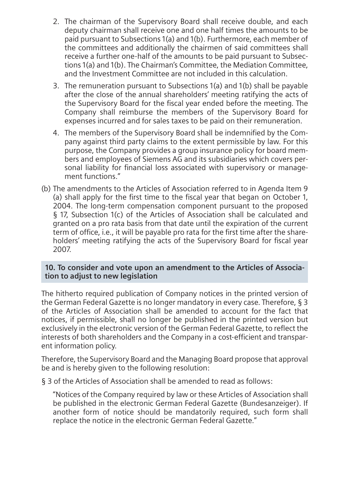- 2. The chairman of the Supervisory Board shall receive double, and each deputy chairman shall receive one and one half times the amounts to be paid pursuant to Subsections 1(a) and 1(b). Furthermore, each member of the committees and additionally the chairmen of said committees shall receive a further one-half of the amounts to be paid pursuant to Subsections 1(a) and 1(b). The Chairman's Committee, the Mediation Committee, and the Investment Committee are not included in this calculation.
- 3. The remuneration pursuant to Subsections 1(a) and 1(b) shall be payable after the close of the annual shareholders' meeting ratifying the acts of the Supervisory Board for the fiscal year ended before the meeting. The Company shall reimburse the members of the Supervisory Board for expenses incurred and for sales taxes to be paid on their remuneration.
- 4. The members of the Supervisory Board shall be indemnified by the Company against third party claims to the extent permissible by law. For this purpose, the Company provides a group insurance policy for board members and employees of Siemens AG and its subsidiaries which covers personal liability for financial loss associated with supervisory or management functions."
- (b) The amendments to the Articles of Association referred to in Agenda Item 9 (a) shall apply for the first time to the fiscal year that began on October 1, 2004. The long-term compensation component pursuant to the proposed § 17, Subsection 1(c) of the Articles of Association shall be calculated and granted on a pro rata basis from that date until the expiration of the current term of office, i.e., it will be payable pro rata for the first time after the shareholders' meeting ratifying the acts of the Supervisory Board for fiscal year 2007.

#### **10. To consider and vote upon an amendment to the Articles of Association to adjust to new legislation**

The hitherto required publication of Company notices in the printed version of the German Federal Gazette is no longer mandatory in every case. Therefore, § 3 of the Articles of Association shall be amended to account for the fact that notices, if permissible, shall no longer be published in the printed version but exclusively in the electronic version of the German Federal Gazette, to reflect the interests of both shareholders and the Company in a cost-efficient and transparent information policy.

Therefore, the Supervisory Board and the Managing Board propose that approval be and is hereby given to the following resolution:

§ 3 of the Articles of Association shall be amended to read as follows:

"Notices of the Company required by law or these Articles of Association shall be published in the electronic German Federal Gazette (Bundesanzeiger). If another form of notice should be mandatorily required, such form shall replace the notice in the electronic German Federal Gazette."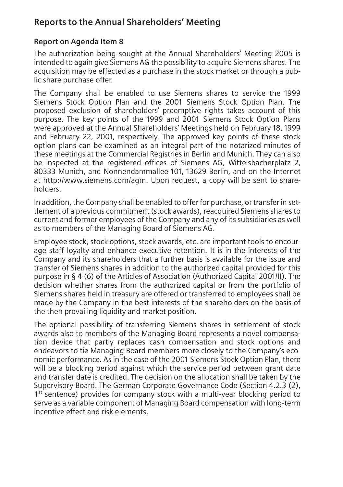# **Reports to the Annual Shareholders' Meeting**

## **Report on Agenda Item 8**

The authorization being sought at the Annual Shareholders' Meeting 2005 is intended to again give Siemens AG the possibility to acquire Siemens shares. The acquisition may be effected as a purchase in the stock market or through a public share purchase offer.

The Company shall be enabled to use Siemens shares to service the 1999 Siemens Stock Option Plan and the 2001 Siemens Stock Option Plan. The proposed exclusion of shareholders' preemptive rights takes account of this purpose. The key points of the 1999 and 2001 Siemens Stock Option Plans were approved at the Annual Shareholders' Meetings held on February 18, 1999 and February 22, 2001, respectively. The approved key points of these stock option plans can be examined as an integral part of the notarized minutes of these meetings at the Commercial Registries in Berlin and Munich. They can also be inspected at the registered offices of Siemens AG, Wittelsbacherplatz 2, 80333 Munich, and Nonnendammallee 101, 13629 Berlin, and on the Internet at http://www.siemens.com/agm. Upon request, a copy will be sent to shareholders.

In addition, the Company shall be enabled to offer for purchase, or transfer in settlement of a previous commitment (stock awards), reacquired Siemens shares to current and former employees of the Company and any of its subsidiaries as well as to members of the Managing Board of Siemens AG.

Employee stock, stock options, stock awards, etc. are important tools to encourage staff loyalty and enhance executive retention. It is in the interests of the Company and its shareholders that a further basis is available for the issue and transfer of Siemens shares in addition to the authorized capital provided for this purpose in § 4 (6) of the Articles of Association (Authorized Capital 2001/II). The decision whether shares from the authorized capital or from the portfolio of Siemens shares held in treasury are offered or transferred to employees shall be made by the Company in the best interests of the shareholders on the basis of the then prevailing liquidity and market position.

The optional possibility of transferring Siemens shares in settlement of stock awards also to members of the Managing Board represents a novel compensation device that partly replaces cash compensation and stock options and endeavors to tie Managing Board members more closely to the Company's economic performance. As in the case of the 2001 Siemens Stock Option Plan, there will be a blocking period against which the service period between grant date and transfer date is credited. The decision on the allocation shall be taken by the Supervisory Board. The German Corporate Governance Code (Section 4.2.3 (2), 1<sup>st</sup> sentence) provides for company stock with a multi-year blocking period to serve as a variable component of Managing Board compensation with long-term incentive effect and risk elements.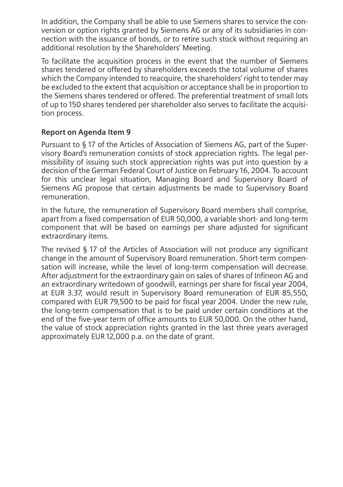In addition, the Company shall be able to use Siemens shares to service the conversion or option rights granted by Siemens AG or any of its subsidiaries in connection with the issuance of bonds, or to retire such stock without requiring an additional resolution by the Shareholders' Meeting.

To facilitate the acquisition process in the event that the number of Siemens shares tendered or offered by shareholders exceeds the total volume of shares which the Company intended to reacquire, the shareholders' right to tender may be excluded to the extent that acquisition or acceptance shall be in proportion to the Siemens shares tendered or offered. The preferential treatment of small lots of up to 150 shares tendered per shareholder also serves to facilitate the acquisition process.

## **Report on Agenda Item 9**

Pursuant to § 17 of the Articles of Association of Siemens AG, part of the Supervisory Board's remuneration consists of stock appreciation rights. The legal permissibility of issuing such stock appreciation rights was put into question by a decision of the German Federal Court of Justice on February 16, 2004. To account for this unclear legal situation, Managing Board and Supervisory Board of Siemens AG propose that certain adjustments be made to Supervisory Board remuneration.

In the future, the remuneration of Supervisory Board members shall comprise, apart from a fixed compensation of EUR 50,000, a variable short- and long-term component that will be based on earnings per share adjusted for significant extraordinary items.

The revised § 17 of the Articles of Association will not produce any significant change in the amount of Supervisory Board remuneration. Short-term compensation will increase, while the level of long-term compensation will decrease. After adjustment for the extraordinary gain on sales of shares of Infineon AG and an extraordinary writedown of goodwill, earnings per share for fiscal year 2004, at EUR 3.37, would result in Supervisory Board remuneration of EUR 85,550, compared with EUR 79,500 to be paid for fiscal year 2004. Under the new rule, the long-term compensation that is to be paid under certain conditions at the end of the five-year term of office amounts to EUR 50,000. On the other hand, the value of stock appreciation rights granted in the last three years averaged approximately EUR 12,000 p.a. on the date of grant.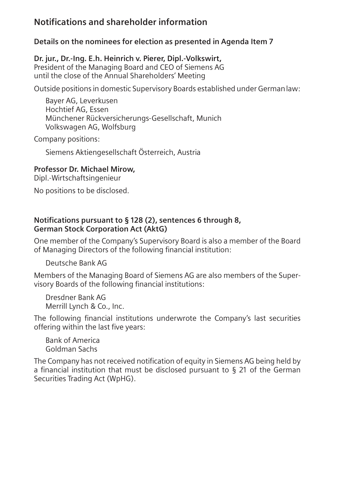# **Notifications and shareholder information**

**Details on the nominees for election as presented in Agenda Item 7**

**Dr. jur., Dr.-Ing. E.h. Heinrich v. Pierer, Dipl.-Volkswirt,** President of the Managing Board and CEO of Siemens AG until the close of the Annual Shareholders' Meeting

Outside positions in domestic Supervisory Boards established under Germanlaw:

Bayer AG, Leverkusen Hochtief AG, Essen Münchener Rückversicherungs-Gesellschaft, Munich Volkswagen AG, Wolfsburg

Company positions:

Siemens Aktiengesellschaft Österreich, Austria

#### **Professor Dr. Michael Mirow,**

Dipl.-Wirtschaftsingenieur

No positions to be disclosed.

## **Notifications pursuant to § 128 (2), sentences 6 through 8, German Stock Corporation Act (AktG)**

One member of the Company's Supervisory Board is also a member of the Board of Managing Directors of the following financial institution:

Deutsche Bank AG

Members of the Managing Board of Siemens AG are also members of the Supervisory Boards of the following financial institutions:

Dresdner Bank AG Merrill Lynch & Co., Inc.

The following financial institutions underwrote the Company's last securities offering within the last five years:

Bank of America Goldman Sachs

The Company has not received notification of equity in Siemens AG being held by a financial institution that must be disclosed pursuant to § 21 of the German Securities Trading Act (WpHG).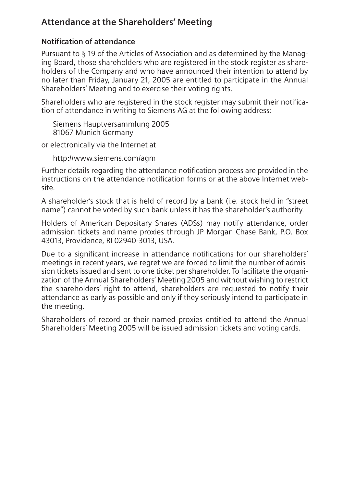# **Attendance at the Shareholders' Meeting**

## **Notification of attendance**

Pursuant to § 19 of the Articles of Association and as determined by the Managing Board, those shareholders who are registered in the stock register as shareholders of the Company and who have announced their intention to attend by no later than Friday, January 21, 2005 are entitled to participate in the Annual Shareholders' Meeting and to exercise their voting rights.

Shareholders who are registered in the stock register may submit their notification of attendance in writing to Siemens AG at the following address:

Siemens Hauptversammlung 2005 81067 Munich Germany

or electronically via the Internet at

http://www.siemens.com/agm

Further details regarding the attendance notification process are provided in the instructions on the attendance notification forms or at the above Internet website.

A shareholder's stock that is held of record by a bank (i.e. stock held in "street name") cannot be voted by such bank unless it has the shareholder's authority.

Holders of American Depositary Shares (ADSs) may notify attendance, order admission tickets and name proxies through JP Morgan Chase Bank, P.O. Box 43013, Providence, RI 02940-3013, USA.

Due to a significant increase in attendance notifications for our shareholders' meetings in recent years, we regret we are forced to limit the number of admission tickets issued and sent to one ticket per shareholder. To facilitate the organization of the Annual Shareholders' Meeting 2005 and without wishing to restrict the shareholders' right to attend, shareholders are requested to notify their attendance as early as possible and only if they seriously intend to participate in the meeting.

Shareholders of record or their named proxies entitled to attend the Annual Shareholders' Meeting 2005 will be issued admission tickets and voting cards.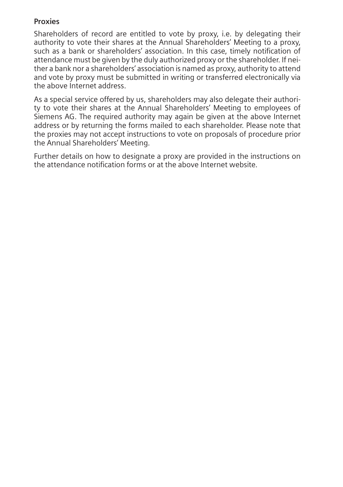## **Proxies**

Shareholders of record are entitled to vote by proxy, i.e. by delegating their authority to vote their shares at the Annual Shareholders' Meeting to a proxy, such as a bank or shareholders' association. In this case, timely notification of attendance must be given by the duly authorized proxy or the shareholder. If neither a bank nor a shareholders' association is named as proxy, authority to attend and vote by proxy must be submitted in writing or transferred electronically via the above Internet address.

As a special service offered by us, shareholders may also delegate their authority to vote their shares at the Annual Shareholders' Meeting to employees of Siemens AG. The required authority may again be given at the above Internet address or by returning the forms mailed to each shareholder. Please note that the proxies may not accept instructions to vote on proposals of procedure prior the Annual Shareholders' Meeting.

Further details on how to designate a proxy are provided in the instructions on the attendance notification forms or at the above Internet website.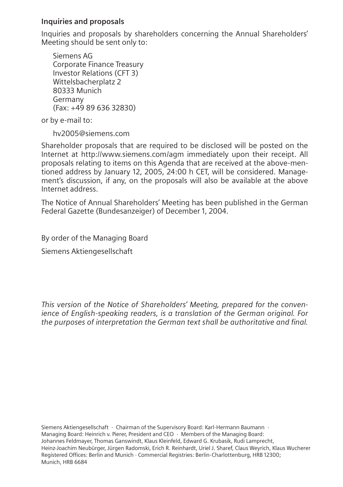### **Inquiries and proposals**

Inquiries and proposals by shareholders concerning the Annual Shareholders' Meeting should be sent only to:

Siemens AG Corporate Finance Treasury Investor Relations (CFT 3) Wittelsbacherplatz 2 80333 Munich Germany (Fax: +49 89 636 32830)

or by e-mail to:

hv2005@siemens.com

Shareholder proposals that are required to be disclosed will be posted on the Internet at http://www.siemens.com/agm immediately upon their receipt. All proposals relating to items on this Agenda that are received at the above-mentioned address by January 12, 2005, 24:00 h CET, will be considered. Management's discussion, if any, on the proposals will also be available at the above Internet address.

The Notice of Annual Shareholders' Meeting has been published in the German Federal Gazette (Bundesanzeiger) of December 1, 2004.

By order of the Managing Board Siemens Aktiengesellschaft

*This version of the Notice of Shareholders' Meeting, prepared for the convenience of English-speaking readers, is a translation of the German original. For the purposes of interpretation the German text shall be authoritative and final.*

Siemens Aktiengesellschaft · Chairman of the Supervisory Board: Karl-Hermann Baumann · Managing Board: Heinrich v. Pierer, President and CEO · Members of the Managing Board: Johannes Feldmayer, Thomas Ganswindt, Klaus Kleinfeld, Edward G. Krubasik, Rudi Lamprecht, Heinz-Joachim Neubürger, Jürgen Radomski, Erich R. Reinhardt, Uriel J. Sharef, Claus Weyrich, Klaus Wucherer Registered Offices: Berlin and Munich · Commercial Registries: Berlin-Charlottenburg, HRB 12300; Munich, HRB 6684